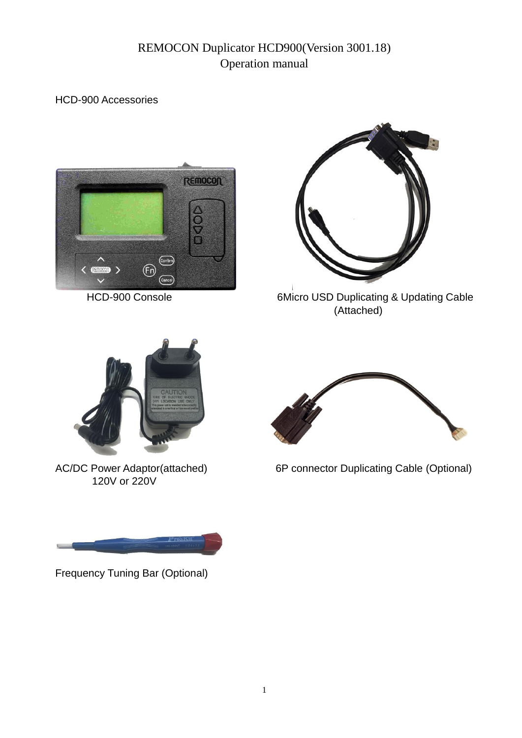# REMOCON Duplicator HCD900(Version 3001.18) Operation manual

#### HCD-900 Accessories





HCD-900 Console 6Micro USD Duplicating & Updating Cable (Attached)



120V or 220V

Frequency Tuning Bar (Optional)



AC/DC Power Adaptor(attached) 6P connector Duplicating Cable (Optional)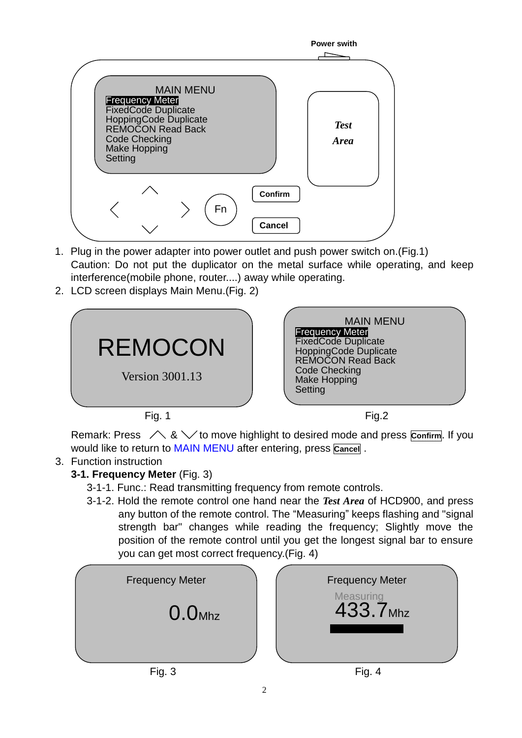

- 1. Plug in the power adapter into power outlet and push power switch on.(Fig.1) Caution: Do not put the duplicator on the metal surface while operating, and keep interference(mobile phone, router....) away while operating.
- 2. LCD screen displays Main Menu.(Fig. 2)



Remark: Press  $\triangle$  &  $\triangle$  to move highlight to desired mode and press **Confirm**. If you would like to return to MAIN MENU after entering, press **Cancel** .

## 3. Function instruction

**3-1. Frequency Meter** (Fig. 3)

3-1-1. Func.: Read transmitting frequency from remote controls.

3-1-2. Hold the remote control one hand near the *Test Area* of HCD900, and press any button of the remote control. The "Measuring" keeps flashing and "signal strength bar" changes while reading the frequency; Slightly move the position of the remote control until you get the longest signal bar to ensure you can get most correct frequency.(Fig. 4)

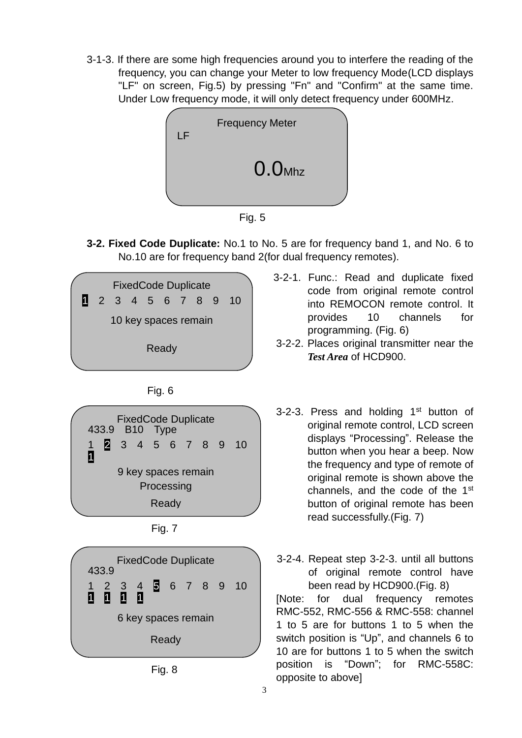3-1-3. If there are some high frequencies around you to interfere the reading of the frequency, you can change your Meter to low frequency Mode(LCD displays "LF" on screen, Fig.5) by pressing "Fn" and "Confirm" at the same time. Under Low frequency mode, it will only detect frequency under 600MHz.



Fig. 5

**3-2. Fixed Code Duplicate:** No.1 to No. 5 are for frequency band 1, and No. 6 to No.10 are for frequency band 2(for dual frequency remotes).



9 key spaces remain Processing Ready

1





Fig. 8

- 3-2-1. Func.: Read and duplicate fixed code from original remote control into REMOCON remote control. It provides 10 channels for programming. (Fig. 6)
- 3-2-2. Places original transmitter near the *Test Area* of HCD900.
- 3-2-3. Press and holding  $1<sup>st</sup>$  button of original remote control, LCD screen displays "Processing". Release the button when you hear a beep. Now the frequency and type of remote of original remote is shown above the channels, and the code of the  $1<sup>st</sup>$ button of original remote has been read successfully.(Fig. 7)

3-2-4. Repeat step 3-2-3. until all buttons of original remote control have been read by HCD900.(Fig. 8) [Note: for dual frequency remotes RMC-552, RMC-556 & RMC-558: channel 1 to 5 are for buttons 1 to 5 when the switch position is "Up", and channels 6 to 10 are for buttons 1 to 5 when the switch position is "Down"; for RMC-558C: opposite to above]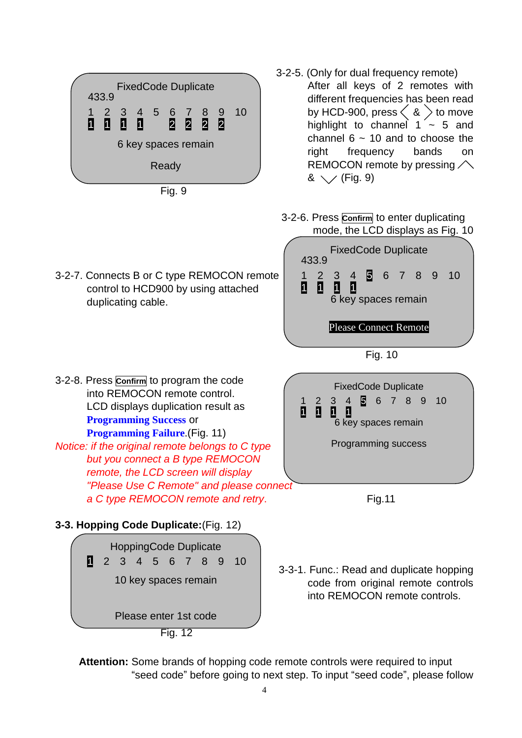

Fig. 9

- 3-2-5. (Only for dual frequency remote) After all keys of 2 remotes with different frequencies has been read by HCD-900, press  $\langle 8 \rangle$  to move highlight to channel  $1 \sim 5$  and channel  $6 \sim 10$  and to choose the right frequency bands on REMOCON remote by pressing  $\triangle$  $\& \searrow$  (Fig. 9)
	- 3-2-6. Press **Confirm** to enter duplicating mode, the LCD displays as Fig. 10

into REMOCON remote controls.

3-2-7. Connects B or C type REMOCON remote control to HCD900 by using attached duplicating cable. Fig. 10 3-2-8. Press **Confirm** to program the code into REMOCON remote control. LCD displays duplication result as **Programming Success** or **Programming Failure**.(Fig. 11) *Notice: if the original remote belongs to C type but you connect a B type REMOCON remote, the LCD screen will display "Please Use C Remote" and please connect* a C type REMOCON remote and retry. The same state of Fig.11 **3-3. Hopping Code Duplicate:**(Fig. 12) 3-3-1. Func.: Read and duplicate hopping code from original remote controls FixedCode Duplicate 433.9 1 2 3 4 5 6 7 8 9 10<br>**1 1 1 1 1** 1 1 6 key spaces remain Please Connect Remote FixedCode Duplicate 1 2 3 4 5 6 7 8 9 10 1 1 1 1 6 key spaces remain Programming success HoppingCode Duplicate 1 2 3 4 5 6 7 8 9 10 10 key spaces remain

Please enter 1st code

Fig. 12

**Attention:** Some brands of hopping code remote controls were required to input "seed code" before going to next step. To input "seed code", please follow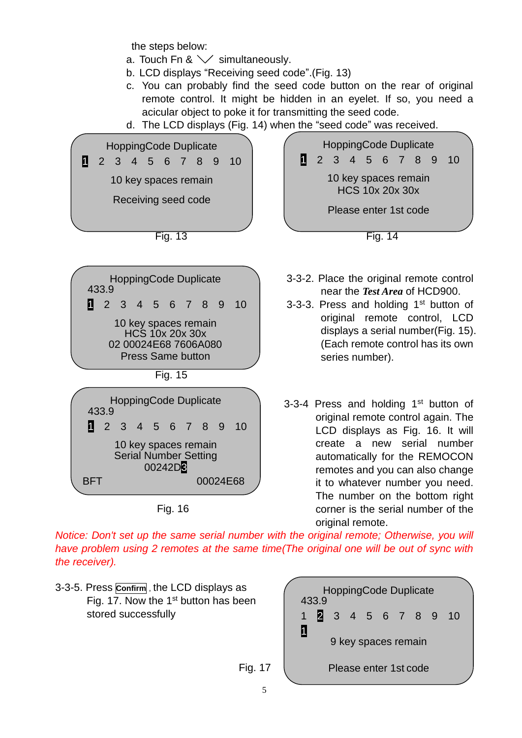the steps below:

- a. Touch Fn &  $\vee$  simultaneously.
- b. LCD displays "Receiving seed code".(Fig. 13)
- c. You can probably find the seed code button on the rear of original remote control. It might be hidden in an eyelet. If so, you need a acicular object to poke it for transmitting the seed code.
- d. The LCD displays (Fig. 14) when the "seed code" was received.



*Notice: Don't set up the same serial number with the original remote; Otherwise, you will have problem using 2 remotes at the same time(The original one will be out of sync with the receiver).* 

3-3-5. Press **Confirm** , the LCD displays as Fig. 17. Now the 1<sup>st</sup> button has been stored successfully

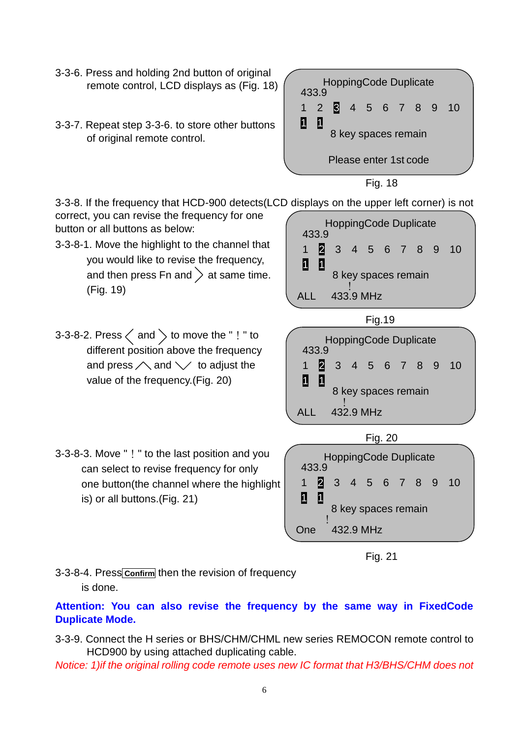- 3-3-6. Press and holding 2nd button of original remote control, LCD displays as (Fig. 18)
- 3-3-7. Repeat step 3-3-6. to store other buttons of original remote control.

| and holding 2nd button of original<br>e control, LCD displays as (Fig. 18) | <b>HoppingCode Duplicate</b><br>433.9 |  |                       |  |  |         |                     |                    |  |
|----------------------------------------------------------------------------|---------------------------------------|--|-----------------------|--|--|---------|---------------------|--------------------|--|
|                                                                            |                                       |  |                       |  |  |         |                     | 2 3 4 5 6 7 8 9 10 |  |
| at step 3-3-6. to store other buttons<br>ginal remote control.             | 1                                     |  |                       |  |  |         | 8 key spaces remain |                    |  |
|                                                                            |                                       |  | Please enter 1st code |  |  |         |                     |                    |  |
|                                                                            |                                       |  |                       |  |  | Fig. 18 |                     |                    |  |

3-3-8. If the frequency that HCD-900 detects(LCD displays on the upper left corner) is not

correct, you can revise the frequency for one button or all buttons as below:

- 3-3-8-1. Move the highlight to the channel that you would like to revise the frequency, and then press Fn and  $\geq$  at same time. (Fig. 19)
- 3-3-8-2. Press  $\langle$  and  $\rangle$  to move the "! " to different position above the frequency and press  $\triangle$  and  $\vee$  to adjust the value of the frequency.(Fig. 20)
- 3-3-8-3. Move "!" to the last position and you can select to revise frequency for only one button(the channel where the highlight is) or all buttons.(Fig. 21)









3-3-8-4. Press**Confirm** then the revision of frequency is done.

**Attention: You can also revise the frequency by the same way in FixedCode Duplicate Mode.**

- 3-3-9. Connect the H series or BHS/CHM/CHML new series REMOCON remote control to HCD900 by using attached duplicating cable.
- *Notice: 1)if the original rolling code remote uses new IC format that H3/BHS/CHM does not*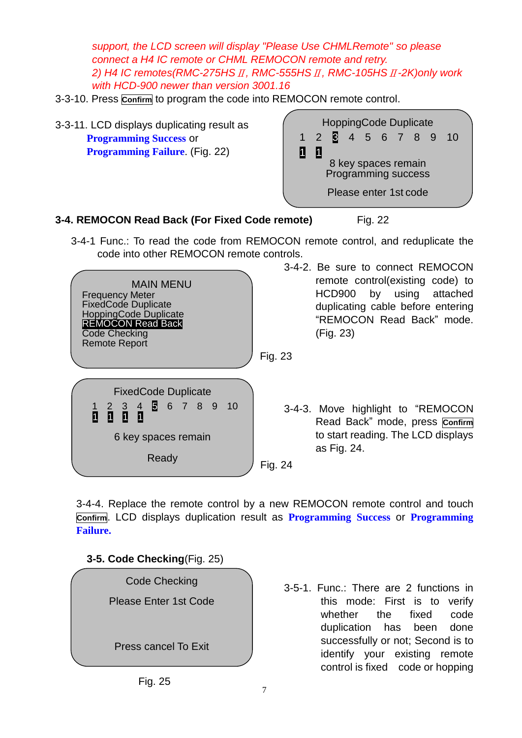*support, the LCD screen will display "Please Use CHMLRemote" so please connect a H4 IC remote or CHML REMOCON remote and retry. 2) H4 IC remotes(RMC-275HS*Ⅱ*, RMC-555HS*Ⅱ*, RMC-105HS*Ⅱ*-2K)only work with HCD-900 newer than version 3001.16*

- 3-3-10. Press **Confirm** to program the code into REMOCON remote control.
- 3-3-11. LCD displays duplicating result as **Programming Success** or **Programming Failure**. (Fig. 22)



#### **3-4. REMOCON Read Back (For Fixed Code remote)** Fig. 22

 3-4-1 Func.: To read the code from REMOCON remote control, and reduplicate the code into other REMOCON remote controls.

|                                                                                                                                                                 | -57     |
|-----------------------------------------------------------------------------------------------------------------------------------------------------------------|---------|
| MAIN MENU<br><b>Frequency Meter</b><br><b>FixedCode Duplicate</b><br>HoppingCode Duplicate<br><b>REMOCON Read Back</b><br>Code Checking<br><b>Remote Report</b> | Fig. 23 |
|                                                                                                                                                                 |         |
| <b>FixedCode Duplicate</b>                                                                                                                                      |         |
| 6 key spaces remain                                                                                                                                             |         |
| Ready                                                                                                                                                           | Fig. 24 |

3-4-2. Be sure to connect REMOCON remote control(existing code) to HCD900 by using attached duplicating cable before entering "REMOCON Read Back" mode. (Fig. 23)

- - 3-4-3. Move highlight to "REMOCON Read Back" mode, press **Confirm** to start reading. The LCD displays as Fig. 24.

3-4-4. Replace the remote control by a new REMOCON remote control and touch **Confirm**. LCD displays duplication result as **Programming Success** or **Programming Failure.**

**3-5. Code Checking**(Fig. 25)



3-5-1. Func.: There are 2 functions in this mode: First is to verify whether the fixed code duplication has been done successfully or not; Second is to identify your existing remote control is fixed code or hopping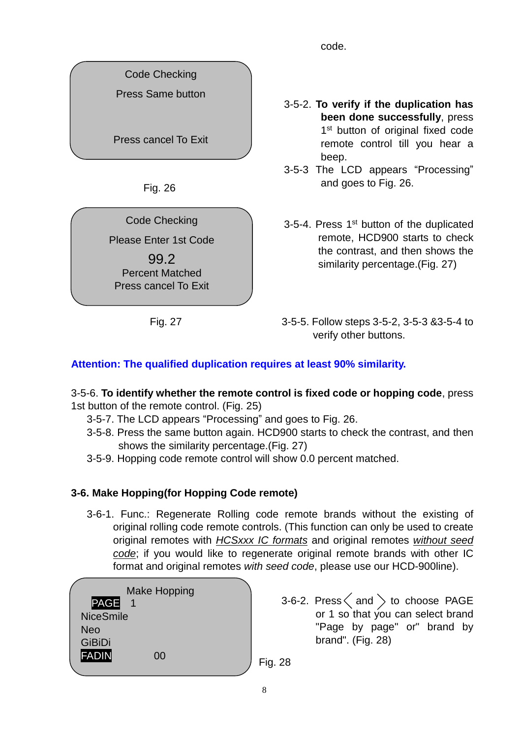code.

Code Checking

Press Same button

Press cancel To Exit

Fig. 26

Code Checking

Please Enter 1st Code

99.2 Percent Matched Press cancel To Exit

3-5-2. **To verify if the duplication has been done successfully**, press 1<sup>st</sup> button of original fixed code remote control till you hear a beep.

3-5-3 The LCD appears "Processing" and goes to Fig. 26.

3-5-4. Press 1<sup>st</sup> button of the duplicated remote, HCD900 starts to check the contrast, and then shows the similarity percentage.(Fig. 27)

 Fig. 27 3-5-5. Follow steps 3-5-2, 3-5-3 &3-5-4 to verify other buttons.

## **Attention: The qualified duplication requires at least 90% similarity.**

#### 3-5-6. **To identify whether the remote control is fixed code or hopping code**, press 1st button of the remote control. (Fig. 25)

- 3-5-7. The LCD appears "Processing" and goes to Fig. 26.
- 3-5-8. Press the same button again. HCD900 starts to check the contrast, and then shows the similarity percentage.(Fig. 27)
- 3-5-9. Hopping code remote control will show 0.0 percent matched.

## **3-6. Make Hopping(for Hopping Code remote)**

 3-6-1. Func.: Regenerate Rolling code remote brands without the existing of original rolling code remote controls. (This function can only be used to create original remotes with *HCSxxx IC formats* and original remotes *without seed code*; if you would like to regenerate original remote brands with other IC format and original remotes *with seed code*, please use our HCD-900line).

|                  | <b>Make Hopping</b> |
|------------------|---------------------|
| PAGE             |                     |
| <b>NiceSmile</b> |                     |
| Neo              |                     |
| <b>GiBiDi</b>    |                     |
| FADIN            | ΩO                  |
|                  |                     |

 $3$ -6-2. Press  $\langle$  and  $\rangle$  to choose PAGE or 1 so that you can select brand "Page by page" or" brand by brand". (Fig. 28)

Fig. 28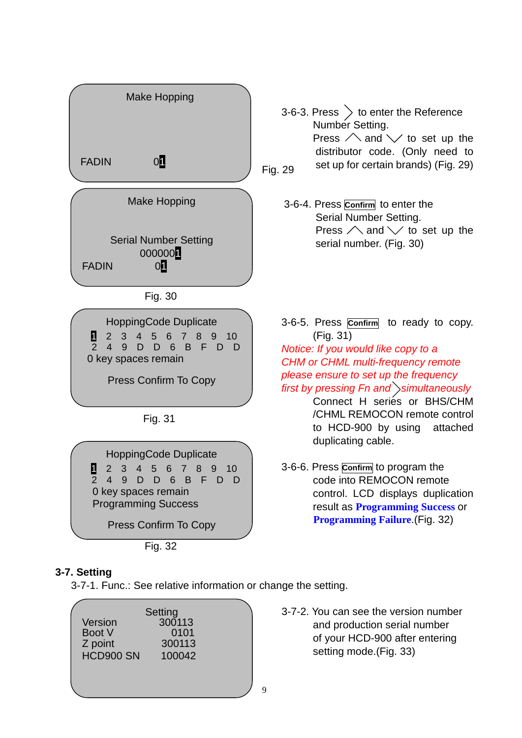

#### **3-7. Setting**

3-7-1. Func.: See relative information or change the setting.

|           | Setting |  |
|-----------|---------|--|
| Version   | 300113  |  |
| Boot V    | 0101    |  |
| Z point   | 300113  |  |
| HCD900 SN | 100042  |  |
|           |         |  |
|           |         |  |
|           |         |  |

3-7-2. You can see the version number and production serial number of your HCD-900 after entering setting mode.(Fig. 33)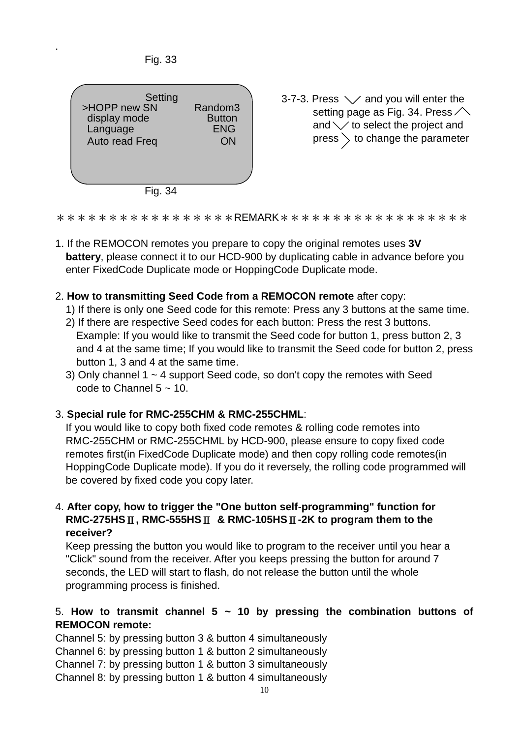

.



Random3 3-7-3. Press  $\swarrow$  and you will enter the  $\begin{array}{c|c} \text{indom}3 & \text{is} \end{array}$  setting page as Fig. 34. Press and  $\vee$  to select the project and  $\rho_N$  |  $\rho$  | press  $\rangle$  to change the parameter

Fig. 34

\*\*\*\*\*\*\*\*\*\*\*\*\*\*\*\*REMARK\*\*\*\*\*\*\*\*\*\*\*\*\*\*\*\*\*\*

- 1. If the REMOCON remotes you prepare to copy the original remotes uses **3V battery**, please connect it to our HCD-900 by duplicating cable in advance before you enter FixedCode Duplicate mode or HoppingCode Duplicate mode.
- 2. **How to transmitting Seed Code from a REMOCON remote** after copy:
	- 1) If there is only one Seed code for this remote: Press any 3 buttons at the same time.
	- 2) If there are respective Seed codes for each button: Press the rest 3 buttons. Example: If you would like to transmit the Seed code for button 1, press button 2, 3 and 4 at the same time; If you would like to transmit the Seed code for button 2, press button 1, 3 and 4 at the same time.
	- 3) Only channel  $1 \sim 4$  support Seed code, so don't copy the remotes with Seed code to Channel  $5 \approx 10$ .

### 3. **Special rule for RMC-255CHM & RMC-255CHML**:

 If you would like to copy both fixed code remotes & rolling code remotes into RMC-255CHM or RMC-255CHML by HCD-900, please ensure to copy fixed code remotes first(in FixedCode Duplicate mode) and then copy rolling code remotes(in HoppingCode Duplicate mode). If you do it reversely, the rolling code programmed will be covered by fixed code you copy later.

4. **After copy, how to trigger the "One button self-programming" function for RMC-275HS**Ⅱ**, RMC-555HS**Ⅱ **& RMC-105HS**Ⅱ**-2K to program them to the receiver?**

Keep pressing the button you would like to program to the receiver until you hear a "Click" sound from the receiver. After you keeps pressing the button for around 7 seconds, the LED will start to flash, do not release the button until the whole programming process is finished.

### 5. **How to transmit channel 5 ~ 10 by pressing the combination buttons of REMOCON remote:**

Channel 5: by pressing button 3 & button 4 simultaneously

Channel 6: by pressing button 1 & button 2 simultaneously

Channel 7: by pressing button 1 & button 3 simultaneously

Channel 8: by pressing button 1 & button 4 simultaneously